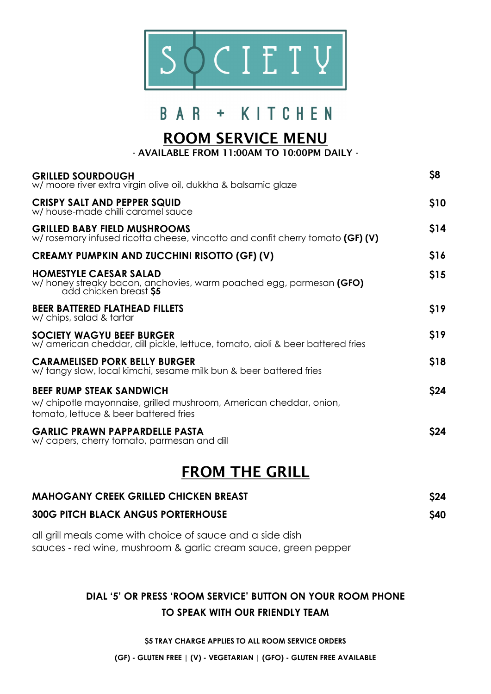

# **BAR + KITCHEN**

## **ROOM SERVICE MENU**

**- AVAILABLE FROM 11:00AM TO 10:00PM DAILY -**

| <b>GRILLED SOURDOUGH</b><br>w/ moore river extra virgin olive oil, dukkha & balsamic glaze                                                    | \$8  |
|-----------------------------------------------------------------------------------------------------------------------------------------------|------|
| <b>CRISPY SALT AND PEPPER SQUID</b><br>w/ house-made chilli caramel sauce                                                                     | \$10 |
| <b>GRILLED BABY FIELD MUSHROOMS</b><br>w/ rosemary infused ricotta cheese, vincotto and confit cherry tomato (GF) (V)                         | \$14 |
| <b>CREAMY PUMPKIN AND ZUCCHINI RISOTTO (GF) (V)</b>                                                                                           | \$16 |
| <b>HOMESTYLE CAESAR SALAD</b><br>w/honey streaky bacon, anchovies, warm poached egg, parmesan (GFO)<br>add chicken breast \$5                 | \$15 |
| <b>BEER BATTERED FLATHEAD FILLETS</b><br>w/ chips, salad & tartar                                                                             | \$19 |
| <b>SOCIETY WAGYU BEEF BURGER</b><br>w/ american cheddar, dill pickle, lettuce, tomato, aioli & beer battered fries                            | \$19 |
| <b>CARAMELISED PORK BELLY BURGER</b><br>w/ tangy slaw, local kimchi, sesame milk bun & beer battered fries                                    | \$18 |
| <b>BEEF RUMP STEAK SANDWICH</b><br>w/chipotle mayonnaise, grilled mushroom, American cheddar, onion,<br>tomato, lettuce & beer battered fries | \$24 |
| <b>GARLIC PRAWN PAPPARDELLE PASTA</b><br>w/ capers, cherry tomato, parmesan and dill                                                          | \$24 |

## **FROM THE GRILL**

| <b>MAHOGANY CREEK GRILLED CHICKEN BREAST</b> | \$24        |
|----------------------------------------------|-------------|
| <b>300G PITCH BLACK ANGUS PORTERHOUSE</b>    | <b>\$40</b> |

all grill meals come with choice of sauce and a side dish sauces - red wine, mushroom & garlic cream sauce, green pepper

#### **DIAL '5' OR PRESS 'ROOM SERVICE' BUTTON ON YOUR ROOM PHONE TO SPEAK WITH OUR FRIENDLY TEAM**

**\$5 TRAY CHARGE APPLIES TO ALL ROOM SERVICE ORDERS**

**(GF) - GLUTEN FREE | (V) - VEGETARIAN | (GFO) - GLUTEN FREE AVAILABLE**